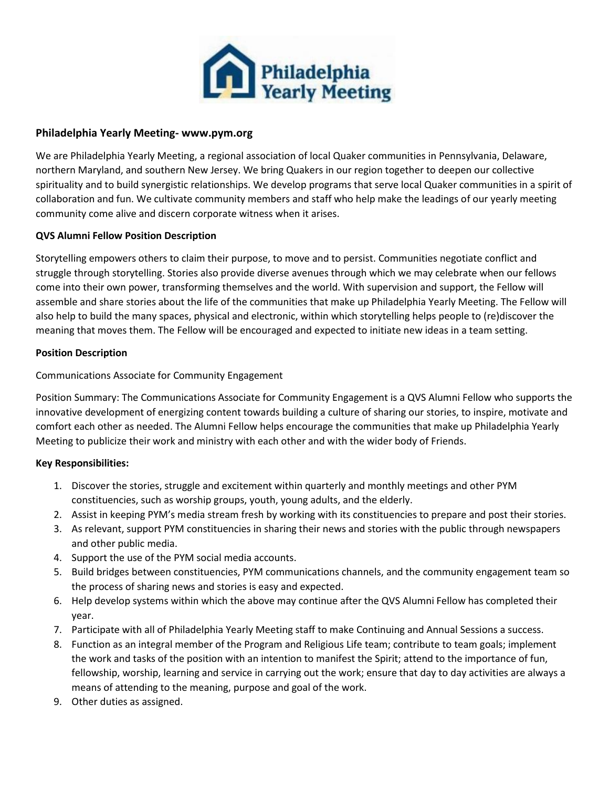

## **Philadelphia Yearly Meeting- www.pym.org**

We are Philadelphia Yearly Meeting, a regional association of local Quaker communities in Pennsylvania, Delaware, northern Maryland, and southern New Jersey. We bring Quakers in our region together to deepen our collective spirituality and to build synergistic relationships. We develop programs that serve local Quaker communities in a spirit of collaboration and fun. We cultivate community members and staff who help make the leadings of our yearly meeting community come alive and discern corporate witness when it arises.

# **QVS Alumni Fellow Position Description**

Storytelling empowers others to claim their purpose, to move and to persist. Communities negotiate conflict and struggle through storytelling. Stories also provide diverse avenues through which we may celebrate when our fellows come into their own power, transforming themselves and the world. With supervision and support, the Fellow will assemble and share stories about the life of the communities that make up Philadelphia Yearly Meeting. The Fellow will also help to build the many spaces, physical and electronic, within which storytelling helps people to (re)discover the meaning that moves them. The Fellow will be encouraged and expected to initiate new ideas in a team setting.

# **Position Description**

# Communications Associate for Community Engagement

Position Summary: The Communications Associate for Community Engagement is a QVS Alumni Fellow who supports the innovative development of energizing content towards building a culture of sharing our stories, to inspire, motivate and comfort each other as needed. The Alumni Fellow helps encourage the communities that make up Philadelphia Yearly Meeting to publicize their work and ministry with each other and with the wider body of Friends.

#### **Key Responsibilities:**

- 1. Discover the stories, struggle and excitement within quarterly and monthly meetings and other PYM constituencies, such as worship groups, youth, young adults, and the elderly.
- 2. Assist in keeping PYM's media stream fresh by working with its constituencies to prepare and post their stories.
- 3. As relevant, support PYM constituencies in sharing their news and stories with the public through newspapers and other public media.
- 4. Support the use of the PYM social media accounts.
- 5. Build bridges between constituencies, PYM communications channels, and the community engagement team so the process of sharing news and stories is easy and expected.
- 6. Help develop systems within which the above may continue after the QVS Alumni Fellow has completed their year.
- 7. Participate with all of Philadelphia Yearly Meeting staff to make Continuing and Annual Sessions a success.
- 8. Function as an integral member of the Program and Religious Life team; contribute to team goals; implement the work and tasks of the position with an intention to manifest the Spirit; attend to the importance of fun, fellowship, worship, learning and service in carrying out the work; ensure that day to day activities are always a means of attending to the meaning, purpose and goal of the work.
- 9. Other duties as assigned.